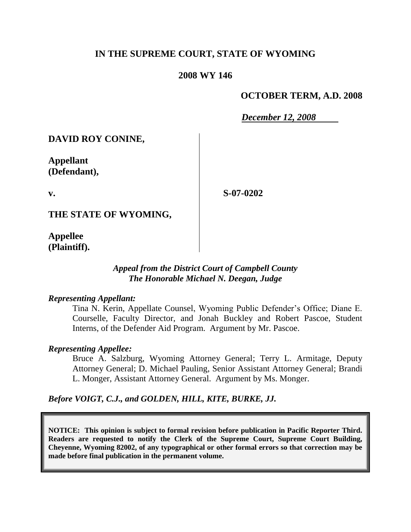## **IN THE SUPREME COURT, STATE OF WYOMING**

#### **2008 WY 146**

## **OCTOBER TERM, A.D. 2008**

*December 12, 2008*

**DAVID ROY CONINE,**

**Appellant (Defendant),**

**v.**

**S-07-0202**

**THE STATE OF WYOMING,**

**Appellee (Plaintiff).**

#### *Appeal from the District Court of Campbell County The Honorable Michael N. Deegan, Judge*

#### *Representing Appellant:*

Tina N. Kerin, Appellate Counsel, Wyoming Public Defender's Office; Diane E. Courselle, Faculty Director, and Jonah Buckley and Robert Pascoe, Student Interns, of the Defender Aid Program. Argument by Mr. Pascoe.

#### *Representing Appellee:*

Bruce A. Salzburg, Wyoming Attorney General; Terry L. Armitage, Deputy Attorney General; D. Michael Pauling, Senior Assistant Attorney General; Brandi L. Monger, Assistant Attorney General. Argument by Ms. Monger.

*Before VOIGT, C.J., and GOLDEN, HILL, KITE, BURKE, JJ.*

**NOTICE: This opinion is subject to formal revision before publication in Pacific Reporter Third. Readers are requested to notify the Clerk of the Supreme Court, Supreme Court Building, Cheyenne, Wyoming 82002, of any typographical or other formal errors so that correction may be made before final publication in the permanent volume.**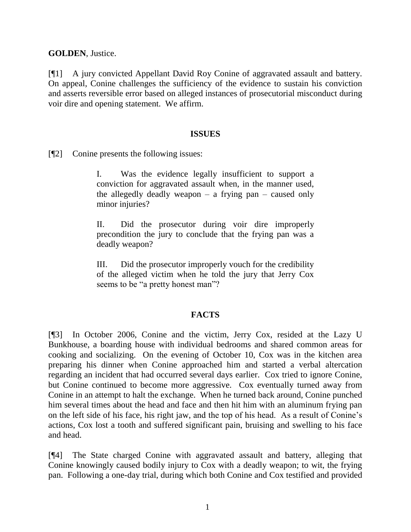**GOLDEN**, Justice.

[¶1] A jury convicted Appellant David Roy Conine of aggravated assault and battery. On appeal, Conine challenges the sufficiency of the evidence to sustain his conviction and asserts reversible error based on alleged instances of prosecutorial misconduct during voir dire and opening statement. We affirm.

#### **ISSUES**

[¶2] Conine presents the following issues:

I. Was the evidence legally insufficient to support a conviction for aggravated assault when, in the manner used, the allegedly deadly weapon  $-$  a frying pan  $-$  caused only minor injuries?

II. Did the prosecutor during voir dire improperly precondition the jury to conclude that the frying pan was a deadly weapon?

III. Did the prosecutor improperly vouch for the credibility of the alleged victim when he told the jury that Jerry Cox seems to be "a pretty honest man"?

## **FACTS**

[¶3] In October 2006, Conine and the victim, Jerry Cox, resided at the Lazy U Bunkhouse, a boarding house with individual bedrooms and shared common areas for cooking and socializing. On the evening of October 10, Cox was in the kitchen area preparing his dinner when Conine approached him and started a verbal altercation regarding an incident that had occurred several days earlier. Cox tried to ignore Conine, but Conine continued to become more aggressive. Cox eventually turned away from Conine in an attempt to halt the exchange. When he turned back around, Conine punched him several times about the head and face and then hit him with an aluminum frying pan on the left side of his face, his right jaw, and the top of his head. As a result of Conine's actions, Cox lost a tooth and suffered significant pain, bruising and swelling to his face and head.

[¶4] The State charged Conine with aggravated assault and battery, alleging that Conine knowingly caused bodily injury to Cox with a deadly weapon; to wit, the frying pan. Following a one-day trial, during which both Conine and Cox testified and provided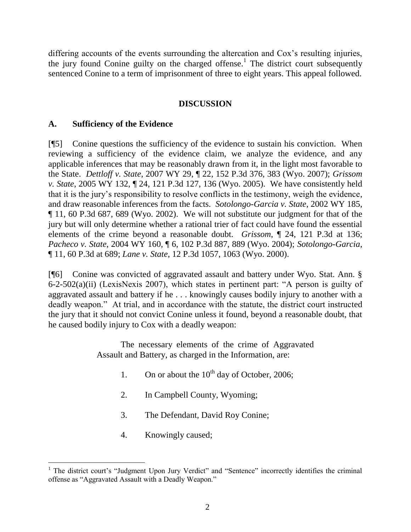differing accounts of the events surrounding the altercation and Cox's resulting injuries, the jury found Conine guilty on the charged offense.<sup>1</sup> The district court subsequently sentenced Conine to a term of imprisonment of three to eight years. This appeal followed.

#### **DISCUSSION**

#### **A. Sufficiency of the Evidence**

[¶5] Conine questions the sufficiency of the evidence to sustain his conviction. When reviewing a sufficiency of the evidence claim, we analyze the evidence, and any applicable inferences that may be reasonably drawn from it, in the light most favorable to the State. *Dettloff v. State*, 2007 WY 29, ¶ 22, 152 P.3d 376, 383 (Wyo. 2007); *Grissom v. State*, 2005 WY 132, ¶ 24, 121 P.3d 127, 136 (Wyo. 2005). We have consistently held that it is the jury's responsibility to resolve conflicts in the testimony, weigh the evidence, and draw reasonable inferences from the facts. *Sotolongo-Garcia v. State*, 2002 WY 185, ¶ 11, 60 P.3d 687, 689 (Wyo. 2002). We will not substitute our judgment for that of the jury but will only determine whether a rational trier of fact could have found the essential elements of the crime beyond a reasonable doubt. *Grissom*, ¶ 24, 121 P.3d at 136; *Pacheco v. State*, 2004 WY 160, ¶ 6, 102 P.3d 887, 889 (Wyo. 2004); *Sotolongo-Garcia*, ¶ 11, 60 P.3d at 689; *Lane v. State*, 12 P.3d 1057, 1063 (Wyo. 2000).

[¶6] Conine was convicted of aggravated assault and battery under Wyo. Stat. Ann. § 6-2-502(a)(ii) (LexisNexis 2007), which states in pertinent part: "A person is guilty of aggravated assault and battery if he . . . knowingly causes bodily injury to another with a deadly weapon." At trial, and in accordance with the statute, the district court instructed the jury that it should not convict Conine unless it found, beyond a reasonable doubt, that he caused bodily injury to Cox with a deadly weapon:

> The necessary elements of the crime of Aggravated Assault and Battery, as charged in the Information, are:

- 1. On or about the  $10^{th}$  day of October, 2006;
- 2. In Campbell County, Wyoming;
- 3. The Defendant, David Roy Conine;
- 4. Knowingly caused;

l

<sup>&</sup>lt;sup>1</sup> The district court's "Judgment Upon Jury Verdict" and "Sentence" incorrectly identifies the criminal offense as "Aggravated Assault with a Deadly Weapon."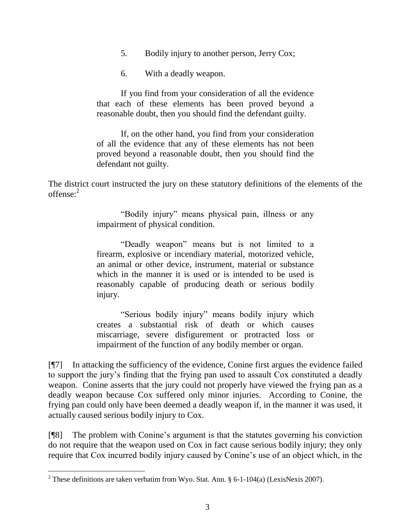- 5. Bodily injury to another person, Jerry Cox;
- 6. With a deadly weapon.

If you find from your consideration of all the evidence that each of these elements has been proved beyond a reasonable doubt, then you should find the defendant guilty.

If, on the other hand, you find from your consideration of all the evidence that any of these elements has not been proved beyond a reasonable doubt, then you should find the defendant not guilty.

The district court instructed the jury on these statutory definitions of the elements of the  $offense<sup>2</sup>$ 

> "Bodily injury" means physical pain, illness or any impairment of physical condition.

> "Deadly weapon" means but is not limited to a firearm, explosive or incendiary material, motorized vehicle, an animal or other device, instrument, material or substance which in the manner it is used or is intended to be used is reasonably capable of producing death or serious bodily injury.

> "Serious bodily injury" means bodily injury which creates a substantial risk of death or which causes miscarriage, severe disfigurement or protracted loss or impairment of the function of any bodily member or organ.

[¶7] In attacking the sufficiency of the evidence, Conine first argues the evidence failed to support the jury's finding that the frying pan used to assault Cox constituted a deadly weapon. Conine asserts that the jury could not properly have viewed the frying pan as a deadly weapon because Cox suffered only minor injuries. According to Conine, the frying pan could only have been deemed a deadly weapon if, in the manner it was used, it actually caused serious bodily injury to Cox.

[¶8] The problem with Conine's argument is that the statutes governing his conviction do not require that the weapon used on Cox in fact cause serious bodily injury; they only require that Cox incurred bodily injury caused by Conine's use of an object which, in the

<sup>&</sup>lt;sup>2</sup> These definitions are taken verbatim from Wyo. Stat. Ann. § 6-1-104(a) (LexisNexis 2007).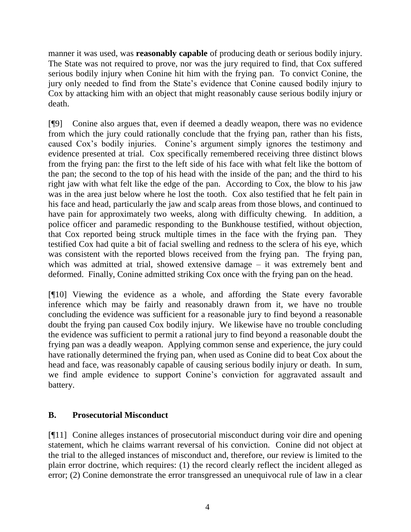manner it was used, was **reasonably capable** of producing death or serious bodily injury. The State was not required to prove, nor was the jury required to find, that Cox suffered serious bodily injury when Conine hit him with the frying pan. To convict Conine, the jury only needed to find from the State's evidence that Conine caused bodily injury to Cox by attacking him with an object that might reasonably cause serious bodily injury or death.

[¶9] Conine also argues that, even if deemed a deadly weapon, there was no evidence from which the jury could rationally conclude that the frying pan, rather than his fists, caused Cox's bodily injuries. Conine's argument simply ignores the testimony and evidence presented at trial. Cox specifically remembered receiving three distinct blows from the frying pan: the first to the left side of his face with what felt like the bottom of the pan; the second to the top of his head with the inside of the pan; and the third to his right jaw with what felt like the edge of the pan. According to Cox, the blow to his jaw was in the area just below where he lost the tooth. Cox also testified that he felt pain in his face and head, particularly the jaw and scalp areas from those blows, and continued to have pain for approximately two weeks, along with difficulty chewing. In addition, a police officer and paramedic responding to the Bunkhouse testified, without objection, that Cox reported being struck multiple times in the face with the frying pan. They testified Cox had quite a bit of facial swelling and redness to the sclera of his eye, which was consistent with the reported blows received from the frying pan. The frying pan, which was admitted at trial, showed extensive damage – it was extremely bent and deformed. Finally, Conine admitted striking Cox once with the frying pan on the head.

[¶10] Viewing the evidence as a whole, and affording the State every favorable inference which may be fairly and reasonably drawn from it, we have no trouble concluding the evidence was sufficient for a reasonable jury to find beyond a reasonable doubt the frying pan caused Cox bodily injury. We likewise have no trouble concluding the evidence was sufficient to permit a rational jury to find beyond a reasonable doubt the frying pan was a deadly weapon. Applying common sense and experience, the jury could have rationally determined the frying pan, when used as Conine did to beat Cox about the head and face, was reasonably capable of causing serious bodily injury or death. In sum, we find ample evidence to support Conine's conviction for aggravated assault and battery.

# **B. Prosecutorial Misconduct**

[¶11] Conine alleges instances of prosecutorial misconduct during voir dire and opening statement, which he claims warrant reversal of his conviction. Conine did not object at the trial to the alleged instances of misconduct and, therefore, our review is limited to the plain error doctrine, which requires: (1) the record clearly reflect the incident alleged as error; (2) Conine demonstrate the error transgressed an unequivocal rule of law in a clear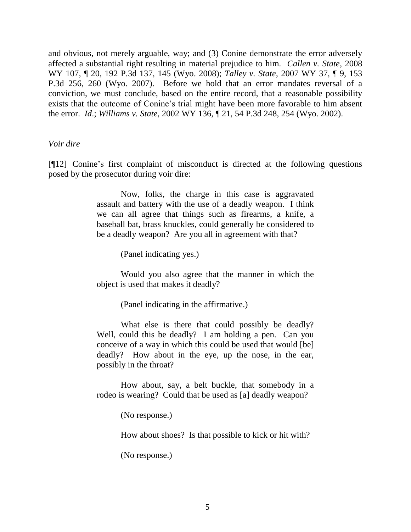and obvious, not merely arguable, way; and (3) Conine demonstrate the error adversely affected a substantial right resulting in material prejudice to him. *Callen v. State*, 2008 WY 107, ¶ 20, 192 P.3d 137, 145 (Wyo. 2008); *Talley v. State*, 2007 WY 37, ¶ 9, 153 P.3d 256, 260 (Wyo. 2007). Before we hold that an error mandates reversal of a conviction, we must conclude, based on the entire record, that a reasonable possibility exists that the outcome of Conine's trial might have been more favorable to him absent the error. *Id*.; *Williams v. State*, 2002 WY 136, ¶ 21, 54 P.3d 248, 254 (Wyo. 2002).

#### *Voir dire*

[¶12] Conine's first complaint of misconduct is directed at the following questions posed by the prosecutor during voir dire:

> Now, folks, the charge in this case is aggravated assault and battery with the use of a deadly weapon. I think we can all agree that things such as firearms, a knife, a baseball bat, brass knuckles, could generally be considered to be a deadly weapon? Are you all in agreement with that?

> > (Panel indicating yes.)

Would you also agree that the manner in which the object is used that makes it deadly?

(Panel indicating in the affirmative.)

What else is there that could possibly be deadly? Well, could this be deadly? I am holding a pen. Can you conceive of a way in which this could be used that would [be] deadly? How about in the eye, up the nose, in the ear, possibly in the throat?

How about, say, a belt buckle, that somebody in a rodeo is wearing? Could that be used as [a] deadly weapon?

(No response.)

How about shoes? Is that possible to kick or hit with?

(No response.)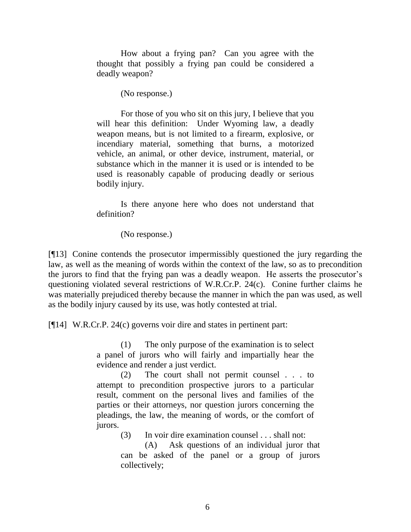How about a frying pan? Can you agree with the thought that possibly a frying pan could be considered a deadly weapon?

(No response.)

For those of you who sit on this jury, I believe that you will hear this definition: Under Wyoming law, a deadly weapon means, but is not limited to a firearm, explosive, or incendiary material, something that burns, a motorized vehicle, an animal, or other device, instrument, material, or substance which in the manner it is used or is intended to be used is reasonably capable of producing deadly or serious bodily injury.

Is there anyone here who does not understand that definition?

(No response.)

[¶13] Conine contends the prosecutor impermissibly questioned the jury regarding the law, as well as the meaning of words within the context of the law, so as to precondition the jurors to find that the frying pan was a deadly weapon. He asserts the prosecutor's questioning violated several restrictions of W.R.Cr.P. 24(c). Conine further claims he was materially prejudiced thereby because the manner in which the pan was used, as well as the bodily injury caused by its use, was hotly contested at trial.

[¶14] W.R.Cr.P. 24(c) governs voir dire and states in pertinent part:

(1) The only purpose of the examination is to select a panel of jurors who will fairly and impartially hear the evidence and render a just verdict.

(2) The court shall not permit counsel . . . to attempt to precondition prospective jurors to a particular result, comment on the personal lives and families of the parties or their attorneys, nor question jurors concerning the pleadings, the law, the meaning of words, or the comfort of jurors.

(3) In voir dire examination counsel . . . shall not:

(A) Ask questions of an individual juror that can be asked of the panel or a group of jurors collectively;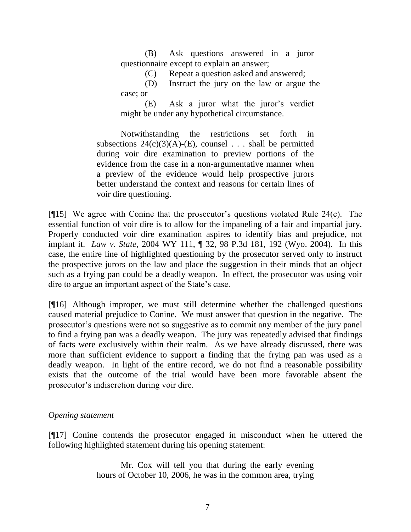(B) Ask questions answered in a juror questionnaire except to explain an answer;

(C) Repeat a question asked and answered;

(D) Instruct the jury on the law or argue the case; or

(E) Ask a juror what the juror's verdict might be under any hypothetical circumstance.

Notwithstanding the restrictions set forth in subsections  $24(c)(3)(A)-(E)$ , counsel . . . shall be permitted during voir dire examination to preview portions of the evidence from the case in a non-argumentative manner when a preview of the evidence would help prospective jurors better understand the context and reasons for certain lines of voir dire questioning.

[¶15] We agree with Conine that the prosecutor's questions violated Rule 24(c). The essential function of voir dire is to allow for the impaneling of a fair and impartial jury. Properly conducted voir dire examination aspires to identify bias and prejudice, not implant it. *Law v. State*, 2004 WY 111, ¶ 32, 98 P.3d 181, 192 (Wyo. 2004). In this case, the entire line of highlighted questioning by the prosecutor served only to instruct the prospective jurors on the law and place the suggestion in their minds that an object such as a frying pan could be a deadly weapon. In effect, the prosecutor was using voir dire to argue an important aspect of the State's case.

[¶16] Although improper, we must still determine whether the challenged questions caused material prejudice to Conine. We must answer that question in the negative. The prosecutor's questions were not so suggestive as to commit any member of the jury panel to find a frying pan was a deadly weapon. The jury was repeatedly advised that findings of facts were exclusively within their realm. As we have already discussed, there was more than sufficient evidence to support a finding that the frying pan was used as a deadly weapon. In light of the entire record, we do not find a reasonable possibility exists that the outcome of the trial would have been more favorable absent the prosecutor's indiscretion during voir dire.

## *Opening statement*

[¶17] Conine contends the prosecutor engaged in misconduct when he uttered the following highlighted statement during his opening statement:

> Mr. Cox will tell you that during the early evening hours of October 10, 2006, he was in the common area, trying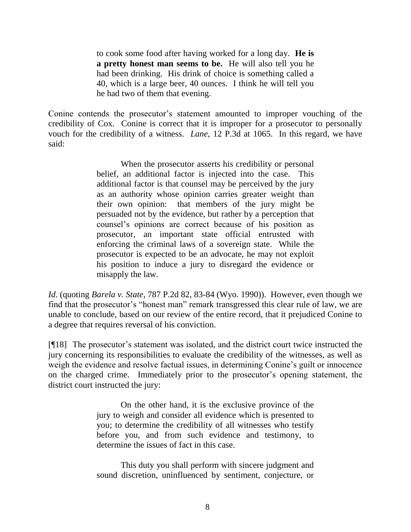to cook some food after having worked for a long day. **He is a pretty honest man seems to be.** He will also tell you he had been drinking. His drink of choice is something called a 40, which is a large beer, 40 ounces. I think he will tell you he had two of them that evening.

Conine contends the prosecutor's statement amounted to improper vouching of the credibility of Cox. Conine is correct that it is improper for a prosecutor to personally vouch for the credibility of a witness. *Lane*, 12 P.3d at 1065. In this regard, we have said:

> When the prosecutor asserts his credibility or personal belief, an additional factor is injected into the case. This additional factor is that counsel may be perceived by the jury as an authority whose opinion carries greater weight than their own opinion: that members of the jury might be persuaded not by the evidence, but rather by a perception that counsel's opinions are correct because of his position as prosecutor, an important state official entrusted with enforcing the criminal laws of a sovereign state. While the prosecutor is expected to be an advocate, he may not exploit his position to induce a jury to disregard the evidence or misapply the law.

*Id*. (quoting *Barela v. State*, 787 P.2d 82, 83-84 (Wyo. 1990)). However, even though we find that the prosecutor's "honest man" remark transgressed this clear rule of law, we are unable to conclude, based on our review of the entire record, that it prejudiced Conine to a degree that requires reversal of his conviction.

[¶18] The prosecutor's statement was isolated, and the district court twice instructed the jury concerning its responsibilities to evaluate the credibility of the witnesses, as well as weigh the evidence and resolve factual issues, in determining Conine's guilt or innocence on the charged crime. Immediately prior to the prosecutor's opening statement, the district court instructed the jury:

> On the other hand, it is the exclusive province of the jury to weigh and consider all evidence which is presented to you; to determine the credibility of all witnesses who testify before you, and from such evidence and testimony, to determine the issues of fact in this case.

> This duty you shall perform with sincere judgment and sound discretion, uninfluenced by sentiment, conjecture, or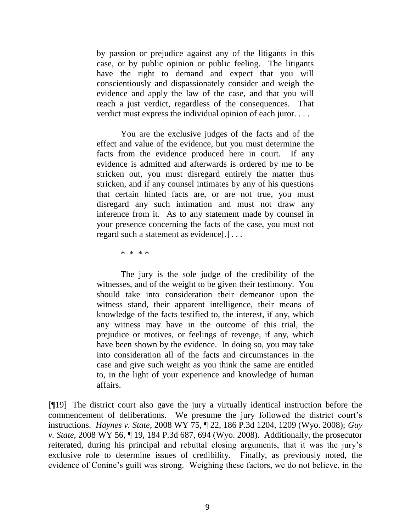by passion or prejudice against any of the litigants in this case, or by public opinion or public feeling. The litigants have the right to demand and expect that you will conscientiously and dispassionately consider and weigh the evidence and apply the law of the case, and that you will reach a just verdict, regardless of the consequences. That verdict must express the individual opinion of each juror. . . .

You are the exclusive judges of the facts and of the effect and value of the evidence, but you must determine the facts from the evidence produced here in court. If any evidence is admitted and afterwards is ordered by me to be stricken out, you must disregard entirely the matter thus stricken, and if any counsel intimates by any of his questions that certain hinted facts are, or are not true, you must disregard any such intimation and must not draw any inference from it. As to any statement made by counsel in your presence concerning the facts of the case, you must not regard such a statement as evidence[.] . . .

\* \* \* \*

The jury is the sole judge of the credibility of the witnesses, and of the weight to be given their testimony. You should take into consideration their demeanor upon the witness stand, their apparent intelligence, their means of knowledge of the facts testified to, the interest, if any, which any witness may have in the outcome of this trial, the prejudice or motives, or feelings of revenge, if any, which have been shown by the evidence. In doing so, you may take into consideration all of the facts and circumstances in the case and give such weight as you think the same are entitled to, in the light of your experience and knowledge of human affairs.

[¶19] The district court also gave the jury a virtually identical instruction before the commencement of deliberations. We presume the jury followed the district court's instructions. *Haynes v. State*, 2008 WY 75, ¶ 22, 186 P.3d 1204, 1209 (Wyo. 2008); *Guy v. State*, 2008 WY 56, ¶ 19, 184 P.3d 687, 694 (Wyo. 2008). Additionally, the prosecutor reiterated, during his principal and rebuttal closing arguments, that it was the jury's exclusive role to determine issues of credibility. Finally, as previously noted, the evidence of Conine's guilt was strong. Weighing these factors, we do not believe, in the